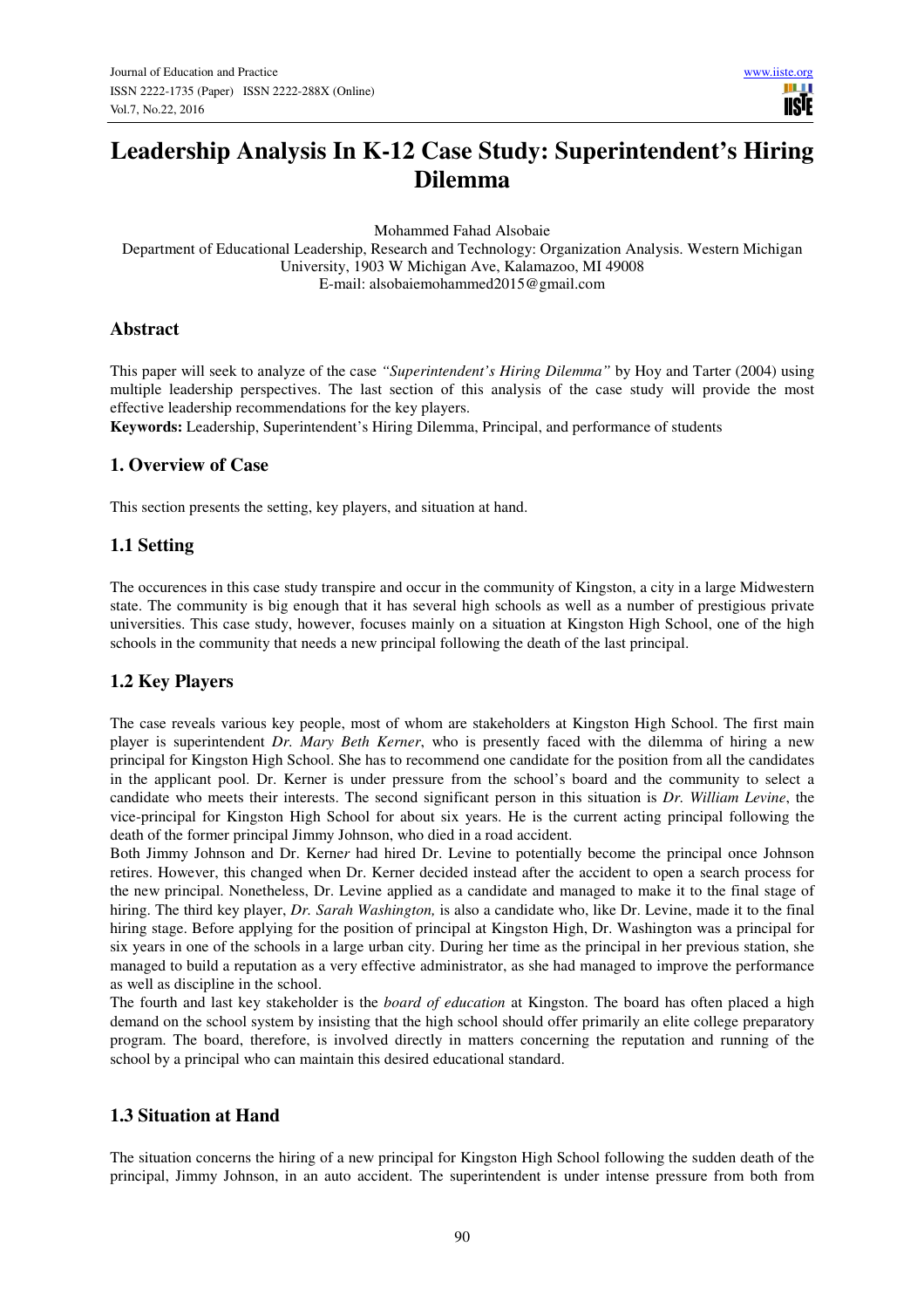**IISE** 

# **Leadership Analysis In K-12 Case Study: Superintendent's Hiring Dilemma**

Mohammed Fahad Alsobaie

Department of Educational Leadership, Research and Technology: Organization Analysis. Western Michigan University, 1903 W Michigan Ave, Kalamazoo, MI 49008 E-mail: alsobaiemohammed2015@gmail.com

#### **Abstract**

This paper will seek to analyze of the case *"Superintendent's Hiring Dilemma"* by Hoy and Tarter (2004) using multiple leadership perspectives. The last section of this analysis of the case study will provide the most effective leadership recommendations for the key players.

**Keywords:** Leadership, Superintendent's Hiring Dilemma, Principal, and performance of students

### **1. Overview of Case**

This section presents the setting, key players, and situation at hand.

### **1.1 Setting**

The occurences in this case study transpire and occur in the community of Kingston, a city in a large Midwestern state. The community is big enough that it has several high schools as well as a number of prestigious private universities. This case study, however, focuses mainly on a situation at Kingston High School, one of the high schools in the community that needs a new principal following the death of the last principal.

# **1.2 Key Players**

The case reveals various key people, most of whom are stakeholders at Kingston High School. The first main player is superintendent *Dr. Mary Beth Kerner*, who is presently faced with the dilemma of hiring a new principal for Kingston High School. She has to recommend one candidate for the position from all the candidates in the applicant pool. Dr. Kerner is under pressure from the school's board and the community to select a candidate who meets their interests. The second significant person in this situation is *Dr. William Levine*, the vice-principal for Kingston High School for about six years. He is the current acting principal following the death of the former principal Jimmy Johnson, who died in a road accident.

Both Jimmy Johnson and Dr. Kerne*r* had hired Dr. Levine to potentially become the principal once Johnson retires. However, this changed when Dr. Kerner decided instead after the accident to open a search process for the new principal. Nonetheless, Dr. Levine applied as a candidate and managed to make it to the final stage of hiring. The third key player, *Dr. Sarah Washington,* is also a candidate who, like Dr. Levine, made it to the final hiring stage. Before applying for the position of principal at Kingston High, Dr. Washington was a principal for six years in one of the schools in a large urban city. During her time as the principal in her previous station, she managed to build a reputation as a very effective administrator, as she had managed to improve the performance as well as discipline in the school.

The fourth and last key stakeholder is the *board of education* at Kingston. The board has often placed a high demand on the school system by insisting that the high school should offer primarily an elite college preparatory program. The board, therefore, is involved directly in matters concerning the reputation and running of the school by a principal who can maintain this desired educational standard.

# **1.3 Situation at Hand**

The situation concerns the hiring of a new principal for Kingston High School following the sudden death of the principal, Jimmy Johnson, in an auto accident. The superintendent is under intense pressure from both from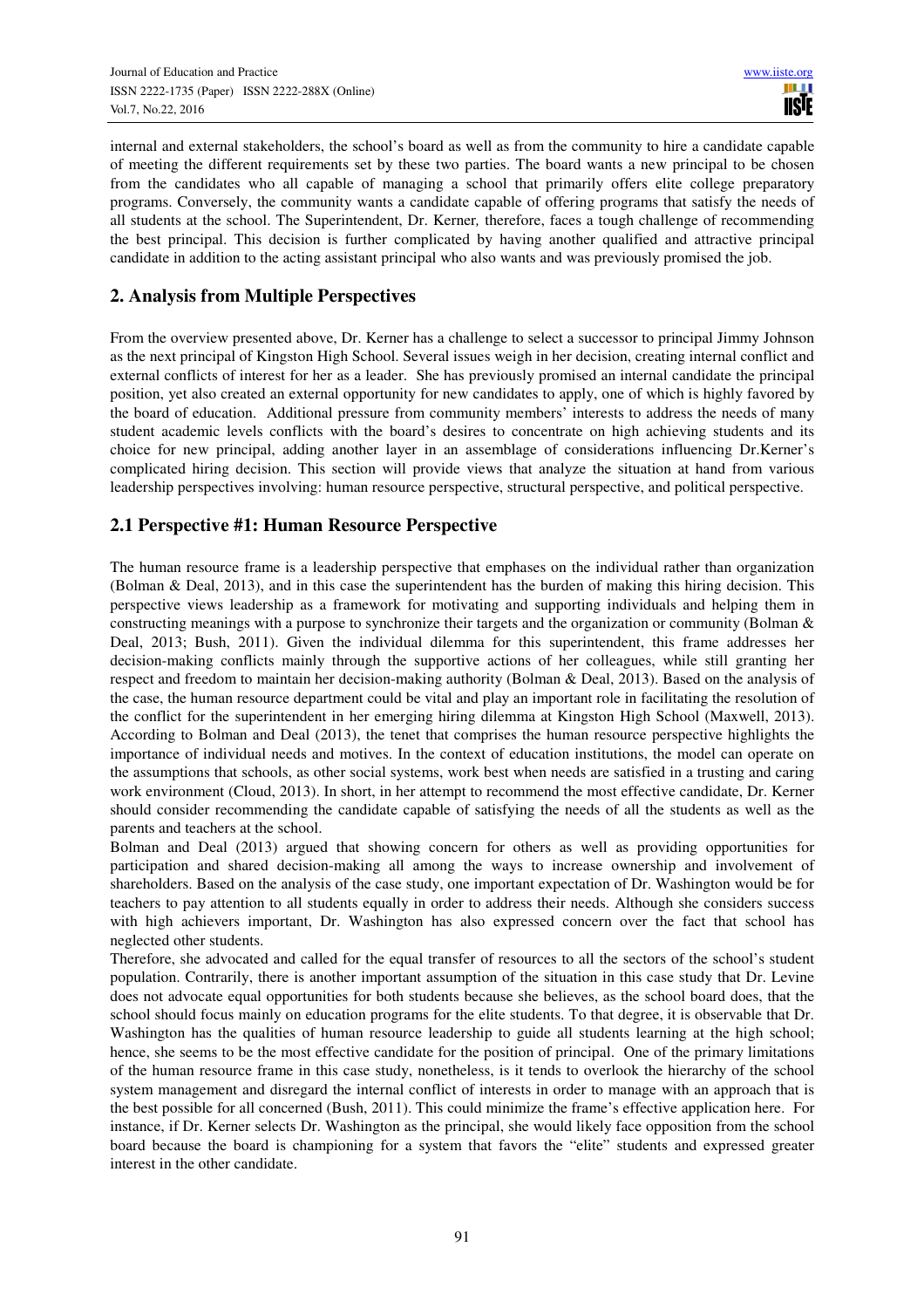internal and external stakeholders, the school's board as well as from the community to hire a candidate capable of meeting the different requirements set by these two parties. The board wants a new principal to be chosen from the candidates who all capable of managing a school that primarily offers elite college preparatory programs. Conversely, the community wants a candidate capable of offering programs that satisfy the needs of all students at the school. The Superintendent, Dr. Kerner*,* therefore, faces a tough challenge of recommending the best principal. This decision is further complicated by having another qualified and attractive principal candidate in addition to the acting assistant principal who also wants and was previously promised the job.

# **2. Analysis from Multiple Perspectives**

From the overview presented above, Dr. Kerner has a challenge to select a successor to principal Jimmy Johnson as the next principal of Kingston High School. Several issues weigh in her decision, creating internal conflict and external conflicts of interest for her as a leader. She has previously promised an internal candidate the principal position, yet also created an external opportunity for new candidates to apply, one of which is highly favored by the board of education. Additional pressure from community members' interests to address the needs of many student academic levels conflicts with the board's desires to concentrate on high achieving students and its choice for new principal, adding another layer in an assemblage of considerations influencing Dr.Kerner's complicated hiring decision. This section will provide views that analyze the situation at hand from various leadership perspectives involving: human resource perspective, structural perspective, and political perspective.

# **2.1 Perspective #1: Human Resource Perspective**

The human resource frame is a leadership perspective that emphases on the individual rather than organization (Bolman & Deal, 2013), and in this case the superintendent has the burden of making this hiring decision. This perspective views leadership as a framework for motivating and supporting individuals and helping them in constructing meanings with a purpose to synchronize their targets and the organization or community (Bolman & Deal, 2013; Bush, 2011). Given the individual dilemma for this superintendent, this frame addresses her decision-making conflicts mainly through the supportive actions of her colleagues, while still granting her respect and freedom to maintain her decision-making authority (Bolman & Deal, 2013). Based on the analysis of the case, the human resource department could be vital and play an important role in facilitating the resolution of the conflict for the superintendent in her emerging hiring dilemma at Kingston High School (Maxwell, 2013). According to Bolman and Deal (2013), the tenet that comprises the human resource perspective highlights the importance of individual needs and motives. In the context of education institutions, the model can operate on the assumptions that schools, as other social systems, work best when needs are satisfied in a trusting and caring work environment (Cloud, 2013). In short, in her attempt to recommend the most effective candidate, Dr. Kerner should consider recommending the candidate capable of satisfying the needs of all the students as well as the parents and teachers at the school.

Bolman and Deal (2013) argued that showing concern for others as well as providing opportunities for participation and shared decision-making all among the ways to increase ownership and involvement of shareholders. Based on the analysis of the case study, one important expectation of Dr. Washington would be for teachers to pay attention to all students equally in order to address their needs. Although she considers success with high achievers important, Dr. Washington has also expressed concern over the fact that school has neglected other students.

Therefore, she advocated and called for the equal transfer of resources to all the sectors of the school's student population. Contrarily, there is another important assumption of the situation in this case study that Dr. Levine does not advocate equal opportunities for both students because she believes, as the school board does, that the school should focus mainly on education programs for the elite students. To that degree, it is observable that Dr. Washington has the qualities of human resource leadership to guide all students learning at the high school; hence, she seems to be the most effective candidate for the position of principal. One of the primary limitations of the human resource frame in this case study, nonetheless, is it tends to overlook the hierarchy of the school system management and disregard the internal conflict of interests in order to manage with an approach that is the best possible for all concerned (Bush, 2011). This could minimize the frame's effective application here. For instance, if Dr. Kerner selects Dr. Washington as the principal, she would likely face opposition from the school board because the board is championing for a system that favors the "elite" students and expressed greater interest in the other candidate.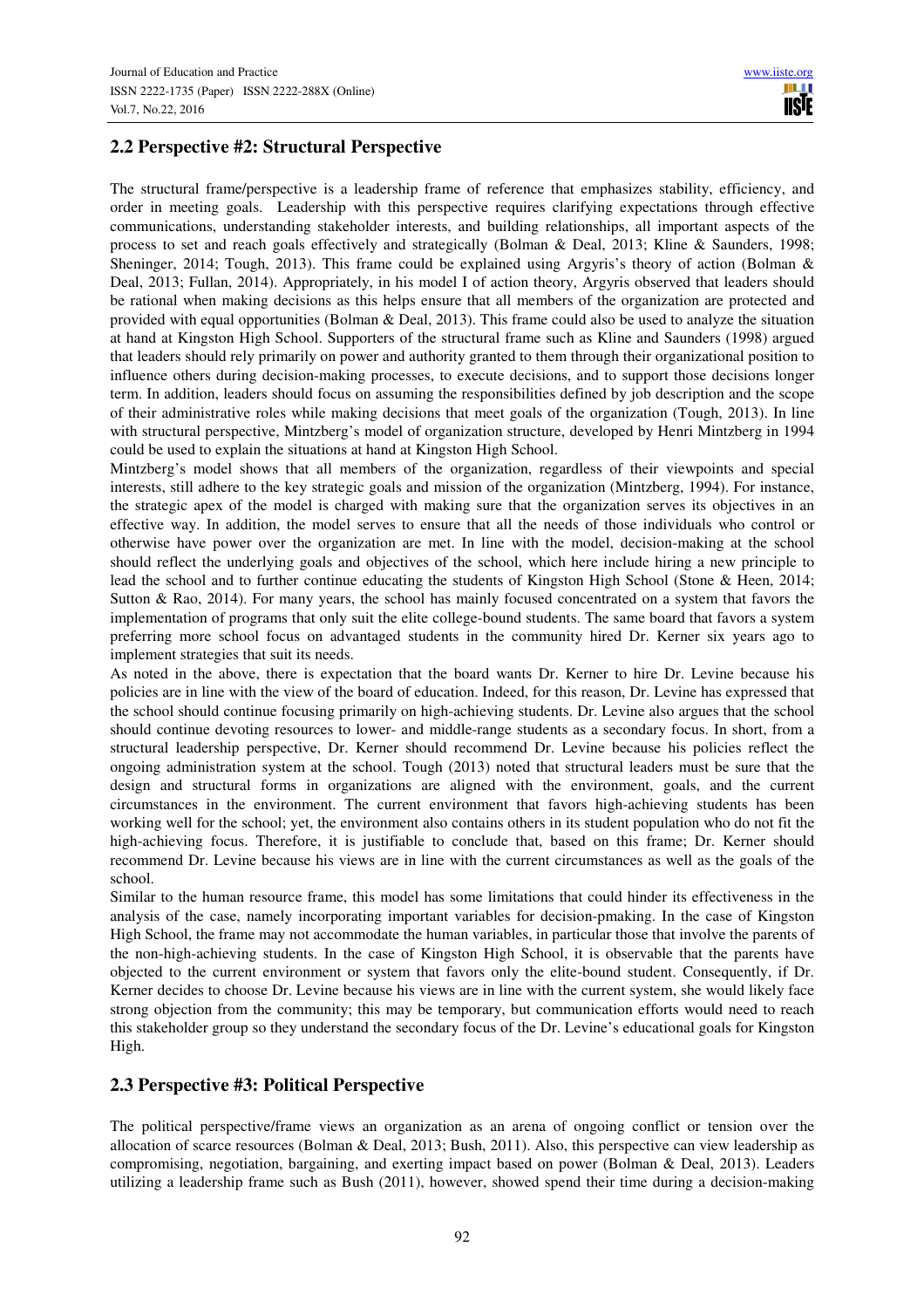# **2.2 Perspective #2: Structural Perspective**

The structural frame/perspective is a leadership frame of reference that emphasizes stability, efficiency, and order in meeting goals. Leadership with this perspective requires clarifying expectations through effective communications, understanding stakeholder interests, and building relationships, all important aspects of the process to set and reach goals effectively and strategically (Bolman & Deal, 2013; Kline & Saunders, 1998; Sheninger, 2014; Tough, 2013). This frame could be explained using Argyris's theory of action (Bolman & Deal, 2013; Fullan, 2014). Appropriately, in his model I of action theory, Argyris observed that leaders should be rational when making decisions as this helps ensure that all members of the organization are protected and provided with equal opportunities (Bolman & Deal, 2013). This frame could also be used to analyze the situation at hand at Kingston High School. Supporters of the structural frame such as Kline and Saunders (1998) argued that leaders should rely primarily on power and authority granted to them through their organizational position to influence others during decision-making processes, to execute decisions, and to support those decisions longer term. In addition, leaders should focus on assuming the responsibilities defined by job description and the scope of their administrative roles while making decisions that meet goals of the organization (Tough, 2013). In line with structural perspective, Mintzberg's model of organization structure, developed by Henri Mintzberg in 1994 could be used to explain the situations at hand at Kingston High School.

Mintzberg's model shows that all members of the organization, regardless of their viewpoints and special interests, still adhere to the key strategic goals and mission of the organization (Mintzberg, 1994). For instance, the strategic apex of the model is charged with making sure that the organization serves its objectives in an effective way. In addition, the model serves to ensure that all the needs of those individuals who control or otherwise have power over the organization are met. In line with the model, decision-making at the school should reflect the underlying goals and objectives of the school, which here include hiring a new principle to lead the school and to further continue educating the students of Kingston High School (Stone & Heen, 2014; Sutton & Rao, 2014). For many years, the school has mainly focused concentrated on a system that favors the implementation of programs that only suit the elite college-bound students. The same board that favors a system preferring more school focus on advantaged students in the community hired Dr. Kerner six years ago to implement strategies that suit its needs.

As noted in the above, there is expectation that the board wants Dr. Kerner to hire Dr. Levine because his policies are in line with the view of the board of education. Indeed, for this reason, Dr. Levine has expressed that the school should continue focusing primarily on high-achieving students. Dr. Levine also argues that the school should continue devoting resources to lower- and middle-range students as a secondary focus. In short, from a structural leadership perspective, Dr. Kerner should recommend Dr. Levine because his policies reflect the ongoing administration system at the school. Tough (2013) noted that structural leaders must be sure that the design and structural forms in organizations are aligned with the environment, goals, and the current circumstances in the environment. The current environment that favors high-achieving students has been working well for the school; yet, the environment also contains others in its student population who do not fit the high-achieving focus. Therefore, it is justifiable to conclude that, based on this frame; Dr. Kerner should recommend Dr. Levine because his views are in line with the current circumstances as well as the goals of the school.

Similar to the human resource frame, this model has some limitations that could hinder its effectiveness in the analysis of the case, namely incorporating important variables for decision-pmaking. In the case of Kingston High School, the frame may not accommodate the human variables, in particular those that involve the parents of the non-high-achieving students. In the case of Kingston High School, it is observable that the parents have objected to the current environment or system that favors only the elite-bound student. Consequently, if Dr. Kerner decides to choose Dr. Levine because his views are in line with the current system, she would likely face strong objection from the community; this may be temporary, but communication efforts would need to reach this stakeholder group so they understand the secondary focus of the Dr. Levine's educational goals for Kingston High.

# **2.3 Perspective #3: Political Perspective**

The political perspective/frame views an organization as an arena of ongoing conflict or tension over the allocation of scarce resources (Bolman & Deal, 2013; Bush, 2011). Also, this perspective can view leadership as compromising, negotiation, bargaining, and exerting impact based on power (Bolman & Deal, 2013). Leaders utilizing a leadership frame such as Bush (2011), however, showed spend their time during a decision-making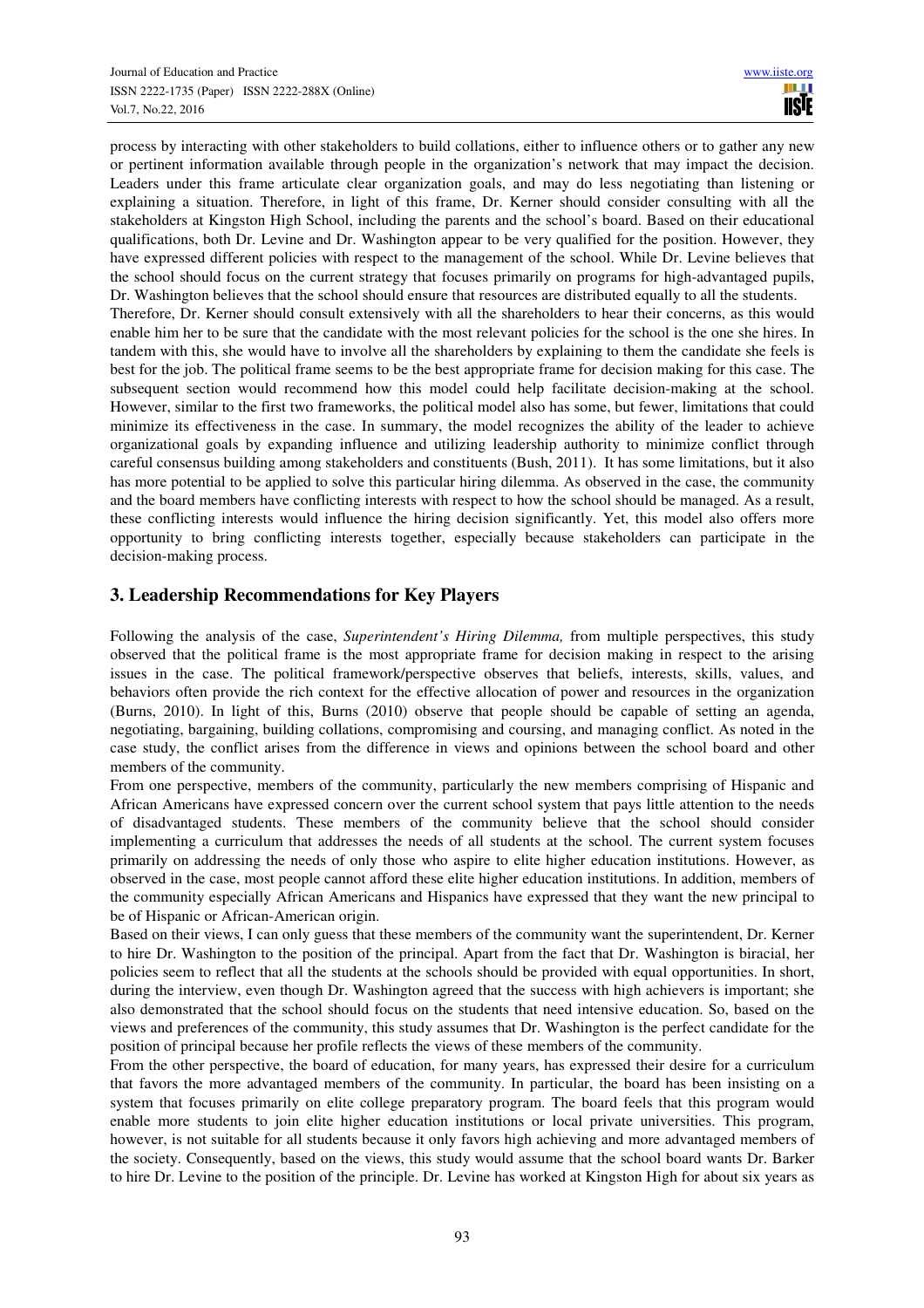process by interacting with other stakeholders to build collations, either to influence others or to gather any new or pertinent information available through people in the organization's network that may impact the decision. Leaders under this frame articulate clear organization goals, and may do less negotiating than listening or explaining a situation. Therefore, in light of this frame, Dr. Kerner should consider consulting with all the stakeholders at Kingston High School, including the parents and the school's board. Based on their educational qualifications, both Dr. Levine and Dr. Washington appear to be very qualified for the position. However, they have expressed different policies with respect to the management of the school. While Dr. Levine believes that the school should focus on the current strategy that focuses primarily on programs for high-advantaged pupils, Dr. Washington believes that the school should ensure that resources are distributed equally to all the students. Therefore, Dr. Kerner should consult extensively with all the shareholders to hear their concerns, as this would enable him her to be sure that the candidate with the most relevant policies for the school is the one she hires. In tandem with this, she would have to involve all the shareholders by explaining to them the candidate she feels is best for the job. The political frame seems to be the best appropriate frame for decision making for this case. The subsequent section would recommend how this model could help facilitate decision-making at the school. However, similar to the first two frameworks, the political model also has some, but fewer, limitations that could minimize its effectiveness in the case. In summary, the model recognizes the ability of the leader to achieve organizational goals by expanding influence and utilizing leadership authority to minimize conflict through careful consensus building among stakeholders and constituents (Bush, 2011). It has some limitations, but it also has more potential to be applied to solve this particular hiring dilemma. As observed in the case, the community and the board members have conflicting interests with respect to how the school should be managed. As a result, these conflicting interests would influence the hiring decision significantly. Yet, this model also offers more opportunity to bring conflicting interests together, especially because stakeholders can participate in the decision-making process.

# **3. Leadership Recommendations for Key Players**

Following the analysis of the case, *Superintendent's Hiring Dilemma,* from multiple perspectives, this study observed that the political frame is the most appropriate frame for decision making in respect to the arising issues in the case. The political framework/perspective observes that beliefs, interests, skills, values, and behaviors often provide the rich context for the effective allocation of power and resources in the organization (Burns, 2010). In light of this, Burns (2010) observe that people should be capable of setting an agenda, negotiating, bargaining, building collations, compromising and coursing, and managing conflict. As noted in the case study, the conflict arises from the difference in views and opinions between the school board and other members of the community.

From one perspective, members of the community, particularly the new members comprising of Hispanic and African Americans have expressed concern over the current school system that pays little attention to the needs of disadvantaged students. These members of the community believe that the school should consider implementing a curriculum that addresses the needs of all students at the school. The current system focuses primarily on addressing the needs of only those who aspire to elite higher education institutions. However, as observed in the case, most people cannot afford these elite higher education institutions. In addition, members of the community especially African Americans and Hispanics have expressed that they want the new principal to be of Hispanic or African-American origin.

Based on their views, I can only guess that these members of the community want the superintendent, Dr. Kerner to hire Dr. Washington to the position of the principal. Apart from the fact that Dr. Washington is biracial, her policies seem to reflect that all the students at the schools should be provided with equal opportunities. In short, during the interview, even though Dr. Washington agreed that the success with high achievers is important; she also demonstrated that the school should focus on the students that need intensive education. So, based on the views and preferences of the community, this study assumes that Dr. Washington is the perfect candidate for the position of principal because her profile reflects the views of these members of the community.

From the other perspective, the board of education, for many years, has expressed their desire for a curriculum that favors the more advantaged members of the community. In particular, the board has been insisting on a system that focuses primarily on elite college preparatory program. The board feels that this program would enable more students to join elite higher education institutions or local private universities. This program, however, is not suitable for all students because it only favors high achieving and more advantaged members of the society. Consequently, based on the views, this study would assume that the school board wants Dr. Barker to hire Dr. Levine to the position of the principle. Dr. Levine has worked at Kingston High for about six years as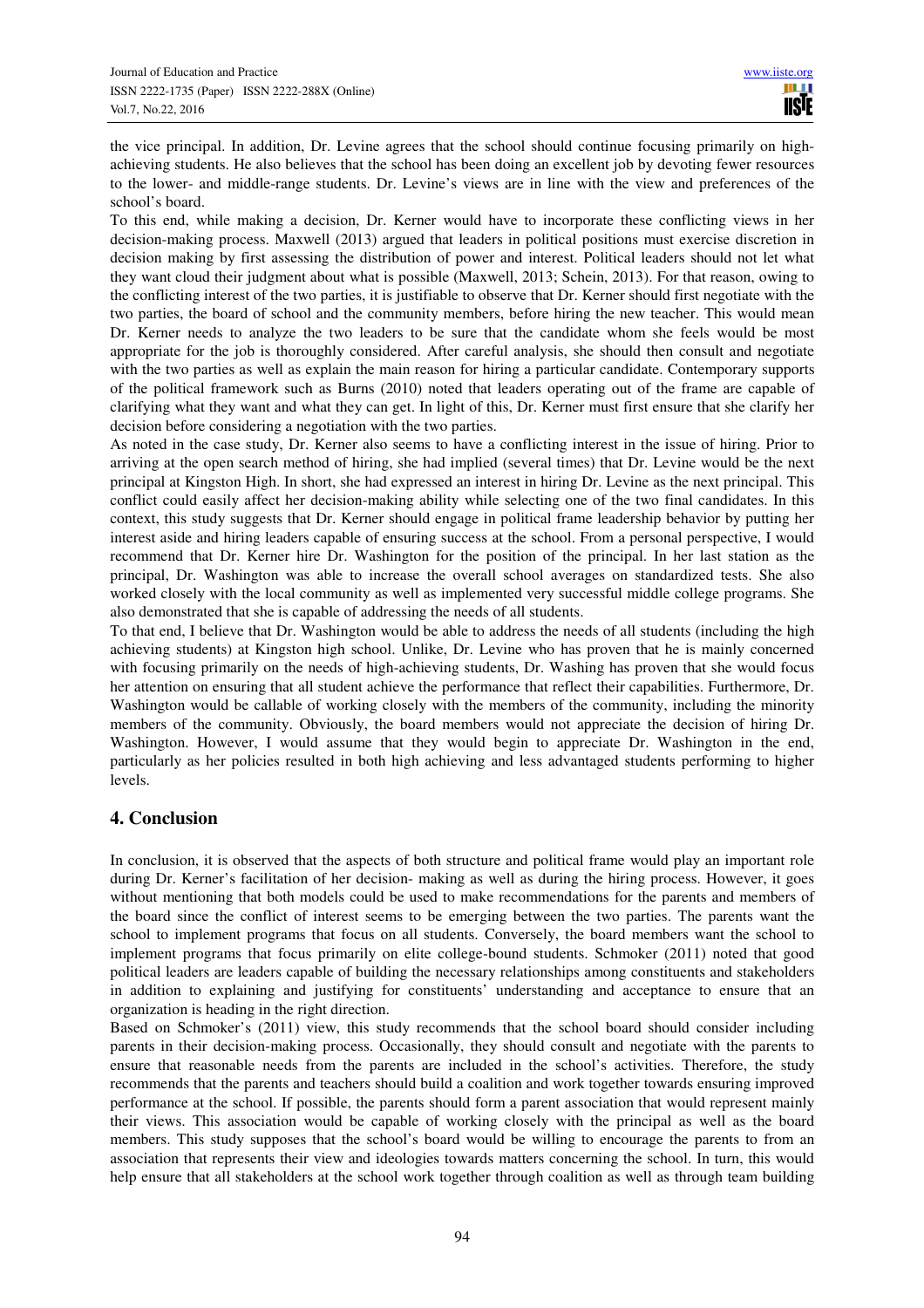the vice principal. In addition, Dr. Levine agrees that the school should continue focusing primarily on highachieving students. He also believes that the school has been doing an excellent job by devoting fewer resources to the lower- and middle-range students. Dr. Levine's views are in line with the view and preferences of the school's board.

To this end, while making a decision, Dr. Kerner would have to incorporate these conflicting views in her decision-making process. Maxwell (2013) argued that leaders in political positions must exercise discretion in decision making by first assessing the distribution of power and interest. Political leaders should not let what they want cloud their judgment about what is possible (Maxwell, 2013; Schein, 2013). For that reason, owing to the conflicting interest of the two parties, it is justifiable to observe that Dr. Kerner should first negotiate with the two parties, the board of school and the community members, before hiring the new teacher. This would mean Dr. Kerner needs to analyze the two leaders to be sure that the candidate whom she feels would be most appropriate for the job is thoroughly considered. After careful analysis, she should then consult and negotiate with the two parties as well as explain the main reason for hiring a particular candidate. Contemporary supports of the political framework such as Burns (2010) noted that leaders operating out of the frame are capable of clarifying what they want and what they can get. In light of this, Dr. Kerner must first ensure that she clarify her decision before considering a negotiation with the two parties.

As noted in the case study, Dr. Kerner also seems to have a conflicting interest in the issue of hiring. Prior to arriving at the open search method of hiring, she had implied (several times) that Dr. Levine would be the next principal at Kingston High. In short, she had expressed an interest in hiring Dr. Levine as the next principal. This conflict could easily affect her decision-making ability while selecting one of the two final candidates. In this context, this study suggests that Dr. Kerner should engage in political frame leadership behavior by putting her interest aside and hiring leaders capable of ensuring success at the school. From a personal perspective, I would recommend that Dr. Kerner hire Dr. Washington for the position of the principal. In her last station as the principal, Dr. Washington was able to increase the overall school averages on standardized tests. She also worked closely with the local community as well as implemented very successful middle college programs. She also demonstrated that she is capable of addressing the needs of all students.

To that end, I believe that Dr. Washington would be able to address the needs of all students (including the high achieving students) at Kingston high school. Unlike, Dr. Levine who has proven that he is mainly concerned with focusing primarily on the needs of high-achieving students, Dr. Washing has proven that she would focus her attention on ensuring that all student achieve the performance that reflect their capabilities. Furthermore, Dr. Washington would be callable of working closely with the members of the community, including the minority members of the community. Obviously, the board members would not appreciate the decision of hiring Dr. Washington. However, I would assume that they would begin to appreciate Dr. Washington in the end, particularly as her policies resulted in both high achieving and less advantaged students performing to higher levels.

# **4. Conclusion**

In conclusion, it is observed that the aspects of both structure and political frame would play an important role during Dr. Kerner's facilitation of her decision- making as well as during the hiring process. However, it goes without mentioning that both models could be used to make recommendations for the parents and members of the board since the conflict of interest seems to be emerging between the two parties. The parents want the school to implement programs that focus on all students. Conversely, the board members want the school to implement programs that focus primarily on elite college-bound students. Schmoker (2011) noted that good political leaders are leaders capable of building the necessary relationships among constituents and stakeholders in addition to explaining and justifying for constituents' understanding and acceptance to ensure that an organization is heading in the right direction.

Based on Schmoker's (2011) view, this study recommends that the school board should consider including parents in their decision-making process. Occasionally, they should consult and negotiate with the parents to ensure that reasonable needs from the parents are included in the school's activities. Therefore, the study recommends that the parents and teachers should build a coalition and work together towards ensuring improved performance at the school. If possible, the parents should form a parent association that would represent mainly their views. This association would be capable of working closely with the principal as well as the board members. This study supposes that the school's board would be willing to encourage the parents to from an association that represents their view and ideologies towards matters concerning the school. In turn, this would help ensure that all stakeholders at the school work together through coalition as well as through team building